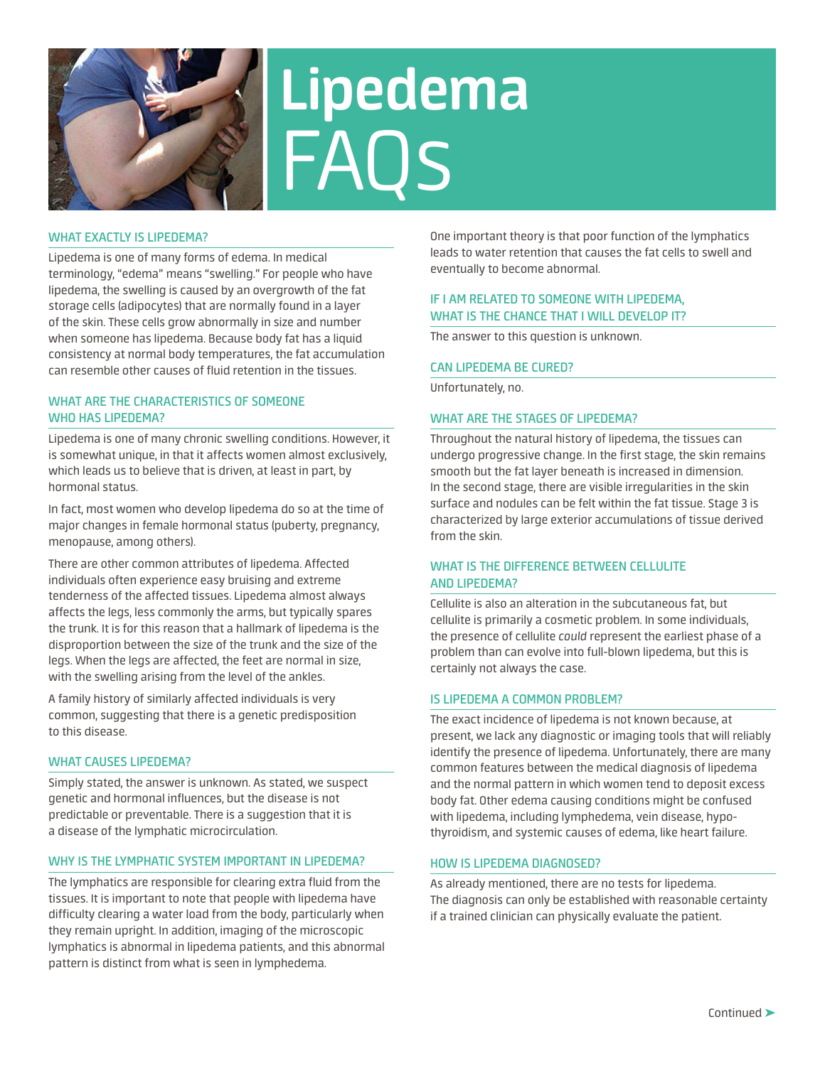

# **Lipedema** FAQs

## **WHAT EXACTLY IS LIPEDEMA?**

Lipedema is one of many forms of edema. In medical terminology, "edema" means "swelling." For people who have lipedema, the swelling is caused by an overgrowth of the fat storage cells (adipocytes) that are normally found in a layer of the skin. These cells grow abnormally in size and number when someone has lipedema. Because body fat has a liquid consistency at normal body temperatures, the fat accumulation can resemble other causes of fluid retention in the tissues.

# **WHAT ARE THE CHARACTERISTICS OF SOMEONE WHO HAS LIPEDEMA?**

Lipedema is one of many chronic swelling conditions. However, it is somewhat unique, in that it affects women almost exclusively, which leads us to believe that is driven, at least in part, by hormonal status.

In fact, most women who develop lipedema do so at the time of major changes in female hormonal status (puberty, pregnancy, menopause, among others).

There are other common attributes of lipedema. Affected individuals often experience easy bruising and extreme tenderness of the affected tissues. Lipedema almost always affects the legs, less commonly the arms, but typically spares the trunk. It is for this reason that a hallmark of lipedema is the disproportion between the size of the trunk and the size of the legs. When the legs are affected, the feet are normal in size, with the swelling arising from the level of the ankles.

A family history of similarly affected individuals is very common, suggesting that there is a genetic predisposition to this disease.

## **WHAT CAUSES LIPEDEMA?**

Simply stated, the answer is unknown. As stated, we suspect genetic and hormonal influences, but the disease is not predictable or preventable. There is a suggestion that it is a disease of the lymphatic microcirculation.

## **WHY IS THE LYMPHATIC SYSTEM IMPORTANT IN LIPEDEMA?**

The lymphatics are responsible for clearing extra fluid from the tissues. It is important to note that people with lipedema have difficulty clearing a water load from the body, particularly when they remain upright. In addition, imaging of the microscopic lymphatics is abnormal in lipedema patients, and this abnormal pattern is distinct from what is seen in lymphedema.

One important theory is that poor function of the lymphatics leads to water retention that causes the fat cells to swell and eventually to become abnormal.

## **IF I AM RELATED TO SOMEONE WITH LIPEDEMA, WHAT IS THE CHANCE THAT I WILL DEVELOP IT?**

The answer to this question is unknown.

#### **CAN LIPEDEMA BE CURED?**

Unfortunately, no.

### **WHAT ARE THE STAGES OF LIPEDEMA?**

Throughout the natural history of lipedema, the tissues can undergo progressive change. In the first stage, the skin remains smooth but the fat layer beneath is increased in dimension. In the second stage, there are visible irregularities in the skin surface and nodules can be felt within the fat tissue. Stage 3 is characterized by large exterior accumulations of tissue derived from the skin.

## **WHAT IS THE DIFFERENCE BETWEEN CELLULITE AND LIPEDEMA?**

Cellulite is also an alteration in the subcutaneous fat, but cellulite is primarily a cosmetic problem. In some individuals, the presence of cellulite *could* represent the earliest phase of a problem than can evolve into full-blown lipedema, but this is certainly not always the case.

#### **IS LIPEDEMA A COMMON PROBLEM?**

The exact incidence of lipedema is not known because, at present, we lack any diagnostic or imaging tools that will reliably identify the presence of lipedema. Unfortunately, there are many common features between the medical diagnosis of lipedema and the normal pattern in which women tend to deposit excess body fat. Other edema causing conditions might be confused with lipedema, including lymphedema, vein disease, hypothyroidism, and systemic causes of edema, like heart failure.

#### **HOW IS LIPEDEMA DIAGNOSED?**

As already mentioned, there are no tests for lipedema. The diagnosis can only be established with reasonable certainty if a trained clinician can physically evaluate the patient.